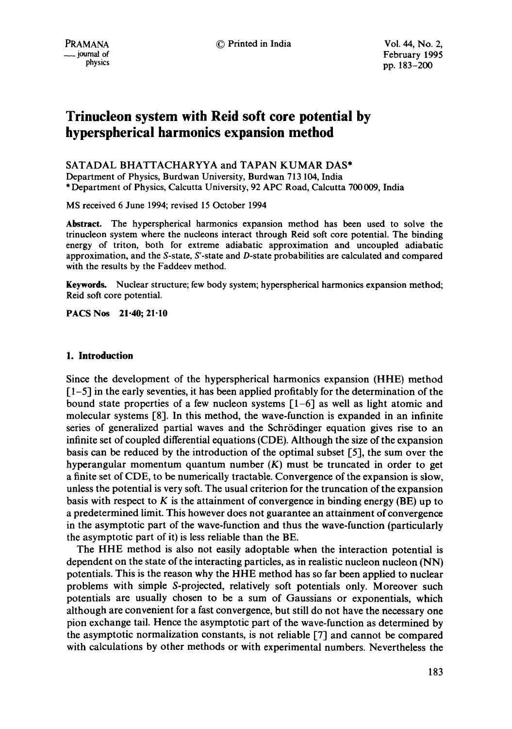# **Trinucleon system with Reid soft core potential by hyperspherical harmonics expansion method**

# SATADAL BHATTACHARYYA and TAPAN KUMAR DAS\*

Department of Physics, Burdwan University, Burdwan 713 104, India \* Department of Physics, Calcutta University, 92 APC Road, Calcutta 700 009, India

MS received 6 June 1994; revised 15 October 1994

**Abstract.** The hyperspherical harmonics expansion method has been used to solve the trinucleon system where the nucleons interact through Reid soft core potential. The binding energy of triton, both for extreme adiabatic approximation and uncoupled adiabatic approximation, and the S-state, S'-state and D-state probabilities are calculated and compared with the results by the Faddeev method.

**Keywords.** Nuclear structure; few body system; hyperspherical harmonics expansion method; Reid soft core potential.

**PACS Nos 21.40; 21-10** 

# **1. Introduction**

Since the development of the hyperspherical harmonics expansion (HHE) method  $[1-5]$  in the early seventies, it has been applied profitably for the determination of the bound state properties of a few nucleon systems  $[1-6]$  as well as light atomic and molecular systems [8]. In this method, the wave-function is expanded in an infinite series of generalized partial waves and the Schrödinger equation gives rise to an infinite set of coupled differential equations (CDE). Although the size of the expansion basis can be reduced by the introduction of the optimal subset [5], the sum over the hyperangular momentum quantum number  $(K)$  must be truncated in order to get a finite set of CDE, to be numerically tractable. Convergence of the expansion is slow, unless the potential is very soft. The usual criterion for the truncation of the expansion basis with respect to K is the attainment of convergence in binding energy (BE) up to a predetermined limit. This however does not guarantee an attainment of convergence in the asymptotic part of the wave-function and thus the wave-function (particularly the asymptotic part of it) is less reliable than the BE.

The HHE method is also not easily adoptable when the interaction potential is dependent on the state of the interacting particles, as in realistic nucleon nucleon (NN) potentials. This is the reason why the HHE method has so far been applied to nuclear problems with simple S-projected, relatively soft potentials only. Moreover such potentials are usually chosen to be a sum of Gaussians or exponentials, which although are convenient for a fast convergence, but still do not have the necessary one pion exchange tail. Hence the asymptotic part of the wave-function as determined by the asymptotic normalization constants, is not reliable [7] and cannot be compared with calculations by other methods or with experimental numbers. Nevertheless the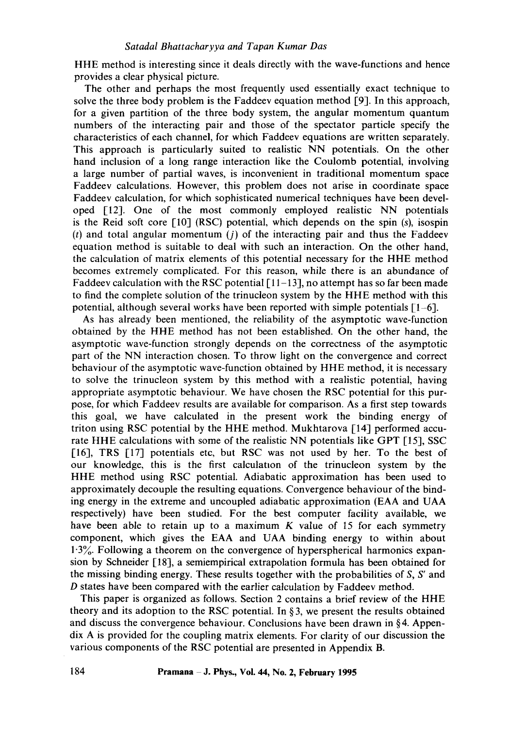HHE method is interesting since it deals directly with the wave-functions and hence provides a clear physical picture.

The other and perhaps the most frequently used essentially exact technique to solve the three body problem is the Faddeev equation method [9]. In this approach, for a given partition of the three body system, the angular momentum quantum numbers of the interacting pair and those of the spectator particle specify the characteristics of each channel, for which Faddeev equations are written separately. This approach is particularly suited to realistic NN potentials. On the other hand inclusion of a long range interaction like the Coulomb potential, involving a large number of partial waves, is inconvenient in traditional momentum space Faddeev calculations. However, this problem does not arise in coordinate space Faddeev calculation, for which sophisticated numerical techniques have been developed [12]. One of the most commonly employed realistic NN potentials is the Reid soft core [10] (RSC) potential, which depends on the spin (s), isospin (t) and total angular momentum  $(j)$  of the interacting pair and thus the Faddeev equation method is suitable to deal with such an interaction. On the other hand, the calculation of matrix elements of this potential necessary for the HHE method becomes extremely complicated. For this reason, while there is an abundance of Faddeev calculation with the RSC potential  $\lceil 11-13 \rceil$ , no attempt has so far been made to find the complete solution of the trinucleon system by the HHE method with this potential, although several works have been reported with simple potentials [1-6].

As has already been mentioned, the reliability of the asymptotic wave-function obtained by the HHE method has not been established. On the other hand, the asymptotic wave-function strongly depends on the correctness of the asymptotic part of the NN interaction chosen. To throw light on the convergence and correct behaviour of the asymptotic wave-function obtained by HHE method, it is necessary to solve the trinucleon system by this method with a realistic potential, having appropriate asymptotic behaviour. We have chosen the RSC potential for this purpose, for which Faddeev results are available for comparison. As a first step towards this goal, we have calculated in the present work the binding energy of triton using RSC potential by the HHE method. Mukhtarova [14] performed accurate HHE calculations with some of the realistic NN potentials like GPT [15], SSC [16], TRS [17] potentials etc, but RSC was not used by her. To the best of our knowledge, this is the first calculation of the trinucleon system by the HHE method using RSC potential. Adiabatic approximation has been used to approximately decouple the resulting equations. Convergence behaviour of the binding energy in the extreme and uncoupled adiabatic approximation (EAA and UAA respectively) have been studied. For the best computer facility available, we have been able to retain up to a maximum  $K$  value of 15 for each symmetry component, which gives the EAA and UAA binding energy to within about  $1.3\%$ . Following a theorem on the convergence of hyperspherical harmonics expansion by Schneider [18], a semiempirical extrapolation formula has been obtained for the missing binding energy. These results together with the probabilities of *S, S'* and D states have been compared with the earlier calculation by Faddeev method.

This paper is organized as follows. Section 2 contains a brief review of the HHE theory and its adoption to the RSC potential. In § 3, we present the results obtained and discuss the convergence behaviour. Conclusions have been drawn in § 4. Appendix A is provided for the coupling matrix elements. For clarity of our discussion the various components of the RSC potential are presented in Appendix B.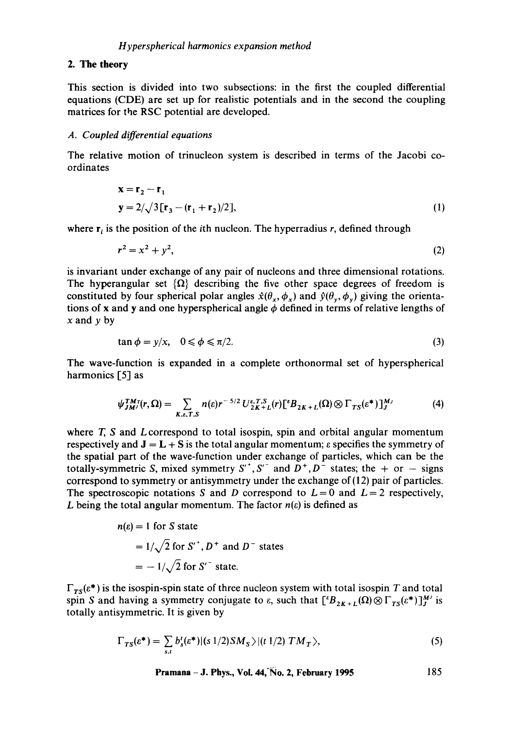#### 2. The theory

This section is divided into two subsections: in the first the coupled differential equations (CDE) are set up for realistic potentials and in the second the coupling matrices for the RSC potential are developed.

#### *A. Coupled differential equations*

The relative motion of trinucleon system is described in terms of the Jacobi coordinates

$$
\mathbf{x} = \mathbf{r}_2 - \mathbf{r}_1
$$
  
\n
$$
\mathbf{y} = 2/\sqrt{3} [\mathbf{r}_3 - (\mathbf{r}_1 + \mathbf{r}_2)/2],
$$
\n(1)

where  $r_i$  is the position of the *i*th nucleon. The hyperradius r, defined through

$$
r^2 = x^2 + y^2,\tag{2}
$$

is invariant under exchange of any pair of nucleons and three dimensional rotations. The hyperangular set  $\{\Omega\}$  describing the five other space degrees of freedom is constituted by four spherical polar angles  $\hat{x}(\theta_x, \phi_x)$  and  $\hat{y}(\theta_y, \phi_y)$  giving the orientations of x and y and one hyperspherical angle  $\phi$  defined in terms of relative lengths of  $x$  and  $y$  by

$$
\tan \phi = y/x, \quad 0 \leq \phi \leq \pi/2. \tag{3}
$$

The wave-function is expanded in a complete orthonormal set of hyperspherical harmonics [5] as

$$
\psi_{JM}^{TM}(\mathbf{r},\Omega)=\sum_{K,\varepsilon,T,S}n(\varepsilon)\mathbf{r}^{-5/2}U_{2K+L}^{\varepsilon,T,S}(\mathbf{r})\big[{}^{\varepsilon}B_{2K+L}(\Omega)\otimes\Gamma_{TS}(\varepsilon^*)\big]_{J}^{M_J}\tag{4}
$$

where  $T$ ,  $S$  and  $L$  correspond to total isospin, spin and orbital angular momentum respectively and  $J = L + S$  is the total angular momentum;  $\varepsilon$  specifies the symmetry of the spatial part of the wave-function under exchange of particles, which can be the totally-symmetric S, mixed symmetry  $S^{\prime}$ ,  $S^{\prime}$  and  $D^{+}$ ,  $D^{-}$  states; the + or - signs correspond to symmetry or antisymmetry under the exchange of (12) pair of particles. The spectroscopic notations S and D correspond to  $L = 0$  and  $L = 2$  respectively, L being the total angular momentum. The factor  $n(\varepsilon)$  is defined as

$$
n(\varepsilon) = 1 \text{ for } S \text{ state}
$$
  
=  $1/\sqrt{2}$  for  $S'^{\dagger}$ ,  $D^{\dagger}$  and  $D^{-}$  states  
=  $-1/\sqrt{2}$  for  $S''$  state.

 $\Gamma_{TS}(\varepsilon^*)$  is the isospin-spin state of three nucleon system with total isospin T and total spin S and having a symmetry conjugate to  $\varepsilon$ , such that  $[{}^{\varepsilon}B_{2K+L}(\Omega)\otimes\Gamma_{TS}(\varepsilon^*)]_{J}^{M}$  is totally antisymmetric. It is given by

$$
\Gamma_{TS}(\varepsilon^*) = \sum_{s,t} b_s^t(\varepsilon^*) |(s\ 1/2)SM_S\rangle |(t\ 1/2)\ TM_T\rangle, \tag{5}
$$

**Pramana - J. Phys., Vol. 44,'No. 2, February 1995 185**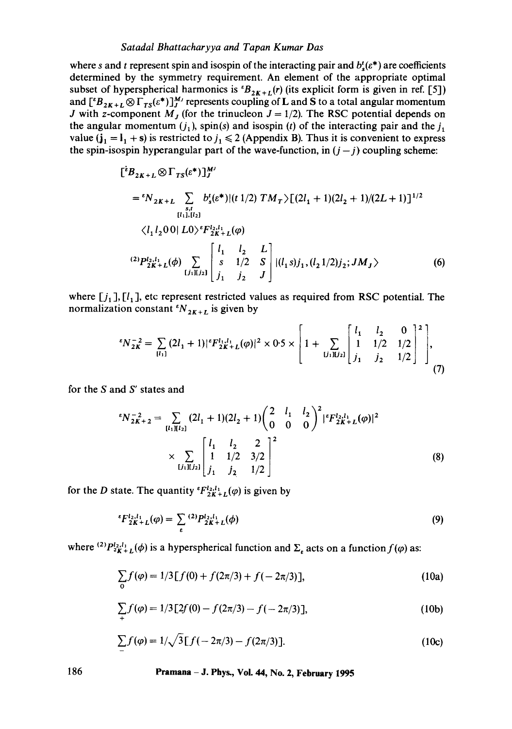# *Satadal Bhattacharyya and Tapan Kumar Das*

where *s* and *t* represent spin and isospin of the interacting pair and  $b_s^i(e^*)$  are coefficients determined by the symmetry requirement. An element of the appropriate optimal subset of hyperspherical harmonics is  ${}^tB_{2K+L}(r)$  (its explicit form is given in ref. [5]) and  $[{}^{\epsilon}B_{2K+L}\otimes\Gamma_{TS}(\varepsilon^*)]_{J}^{M}$  represents coupling of **L** and **S** to a total angular momentum J with z-component  $M_j$  (for the trinucleon  $J = 1/2$ ). The RSC potential depends on the angular momentum  $(j_1)$ , spin(s) and isospin (t) of the interacting pair and the  $j_1$ value ( $j_1 = I_1 + s$ ) is restricted to  $j_1 \le 2$  (Appendix B). Thus it is convenient to express the spin-isospin hyperangular part of the wave-function, in  $(j - j)$  coupling scheme:

$$
\begin{aligned}\n\left[\,{}^{e}B_{2K+L}\otimes\Gamma_{TS}(\varepsilon^{*})\right]_{J}^{M} \\
&= {}^{e}N_{2K+L} \sum_{s,t} b'_{s}(\varepsilon^{*})|(t\;1/2)\;TM_{T}\rangle\left[(2l_{1}+1)(2l_{2}+1)/(2L+1)\right]^{1/2} \\
&\quad\langle l_{1}l_{2}00|\;L0\rangle^{e}F_{2K+L}^{l_{2},l_{1}}(\varphi) \\
&\quad\langle l_{1}l_{2}00|\;L0\rangle^{e}F_{2K+L}^{l_{2},l_{1}}(\varphi) \\
&\quad\langle l_{1}l_{2}L\right] \left[\,s\quad 1/2\quad S\right] |(l_{1}s)j_{1},(l_{2}1/2)j_{2};JM_{J}\rangle\n\end{aligned} \tag{6}
$$

where  $[j_1]$ ,  $[l_1]$ , etc represent restricted values as required from RSC potential. The normalization constant  ${}^tN_{2K+L}$  is given by

$$
{}^{ \epsilon} N_{2K}^{-2} = \sum_{[l_1]} (2l_1 + 1) |{}^{ \epsilon} F_{2K+L}^{l_1, l_1}(\varphi)|^2 \times 0.5 \times \left[ 1 + \sum_{[j_1][j_2]} \left[ \begin{array}{cc} l_1 & l_2 & 0 \\ 1 & 1/2 & 1/2 \\ j_1 & j_2 & 1/2 \end{array} \right]^2 \right], \tag{7}
$$

for the S and S' states and

$$
{}^{s}N_{2K+2}^{-2} = \sum_{[l_{1}][l_{2}]} (2l_{1} + 1)(2l_{2} + 1) \begin{pmatrix} 2 & l_{1} & l_{2} \\ 0 & 0 & 0 \end{pmatrix}^{2} |{}^{s}F_{2K+L}^{l_{2},l_{1}}(\varphi)|^{2}
$$
  
 
$$
\times \sum_{[j_{1}][j_{2}]} \begin{bmatrix} l_{1} & l_{2} & 2 \\ 1 & 1/2 & 3/2 \\ j_{1} & j_{2} & 1/2 \end{bmatrix}^{2}
$$
 (8)

for the *D* state. The quantity  ${}^{\epsilon}F_{2K+L}^{l_2,l_1}(\varphi)$  is given by

$$
{}^{\varepsilon}F_{2K+L}^{l_2,l_1}(\varphi) = \sum_{\varepsilon} {}^{(2)}P_{2K+L}^{l_2,l_1}(\varphi)
$$
 (9)

where <sup>(2)</sup> $P_{z_{K+L}}^{l_2,l_1}(\phi)$  is a hyperspherical function and  $\Sigma_{\epsilon}$  acts on a function  $f(\phi)$  as:

$$
\sum_{0} f(\varphi) = 1/3[f(0) + f(2\pi/3) + f(-2\pi/3)],
$$
 (10a)

$$
\sum_{+} f(\varphi) = 1/3 \left[ 2f(0) - f(2\pi/3) - f(-2\pi/3) \right],
$$
 (10b)

$$
\sum_{i=1}^{n} f(\varphi) = 1/\sqrt{3} [f(-2\pi/3) - f(2\pi/3)].
$$
 (10c)

**186 Pramana - J. Phys., Voi. 44, No. 2, February 1995**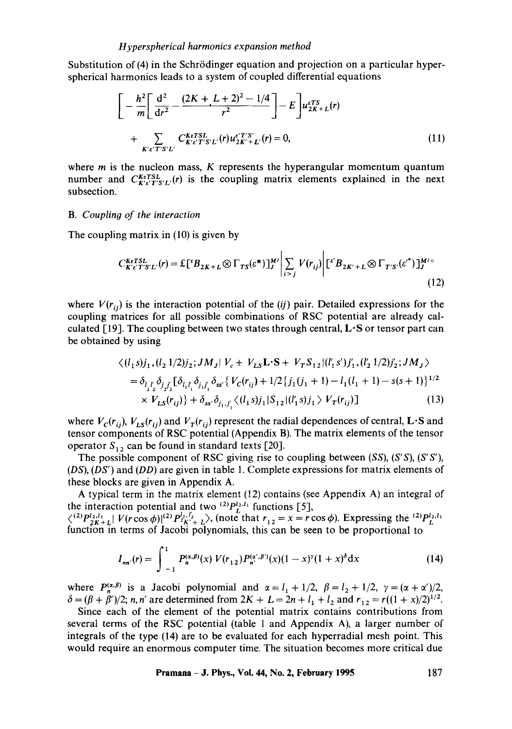Substitution of (4) in the Schrödinger equation and projection on a particular hyperspherical harmonics leads to a system of coupled differential equations

$$
\left[ -\frac{h^2}{m} \left[ \frac{d^2}{dr^2} - \frac{(2K + L + 2)^2 - 1/4}{r^2} \right] - E \right] u_{2K+L}^{eTS}(r)
$$
  
+ 
$$
\sum_{K' \in T'S'L'} C_{K' \in T'S'L'}^{keTSL}(r) u_{2K'+L'}^{e'T'S'}(r) = 0,
$$
 (11)

where  $m$  is the nucleon mass,  $K$  represents the hyperangular momentum quantum number and  $C_{K'c'T'S'L'}^{KeTSL'}(r)$  is the coupling matrix elements explained in the next subsection.

#### *B. Couplin9 of the interaction*

The coupling matrix in (10) is given by

$$
C_{K'\varepsilon'TS'L'}^{K\varepsilon TSL'}(r) = \mathcal{L}\left[{}^{\varepsilon}B_{2K+L}\otimes\Gamma_{TS}(\varepsilon^{*})\right]_{J}^{M'}\Bigg| \sum_{i>j} V(r_{ij})\Bigg| \left[{}^{\varepsilon'}B_{2K'+L}\otimes\Gamma_{T'S'}(\varepsilon^{*})\right]_{J}^{M' \circ} \tag{12}
$$

where  $V(r_{ii})$  is the interaction potential of the *(ij)* pair. Detailed expressions for the coupling matrices for all possible combinations of RSC potential are already calculated [19]. The coupling between two states through central,  $\mathbf{L} \cdot \mathbf{S}$  or tensor part can be obtained by using

$$
\langle (l_1 s)j_1, (l_2 1/2)j_2; JM_J | V_c + V_{LS} \mathbf{L} \cdot \mathbf{S} + V_T S_{12} | (l'_1 s')j'_1, (l'_2 1/2)j'_2; JM_J \rangle
$$
  
=  $\delta_{l_2 l'_2} \delta_{j_2 l'_2} [\delta_{l_1 l'_1} \delta_{j_1 l'_1} \delta_{ss'} \{ V_C(r_{ij}) + 1/2 \{ j_1 (j_1 + 1) - l_1 (l_1 + 1) - s(s + 1) \}^{1/2} \times V_{LS}(r_{ij}) \} + \delta_{ss'} \delta_{l_1, j'} \langle (l_1 s)j_1 | S_{12} | (l'_1 s)j_1 \rangle V_T(r_{ij}) ] \qquad (13)$ 

where  $V_c(r_{ij})$ ,  $V_{LS}(r_{ij})$  and  $V_T(r_{ij})$  represent the radial dependences of central, L·S and tensor components of RSC potential (Appendix B). The matrix elements of the tensor operator  $S_{12}$  can be found in standard texts [20].

The possible component of RSC giving rise to coupling between *(SS), (S'S), (S'S'), (DS), (DS')* and *(DD)* are given in table 1. Complete expressions for matrix elements of these blocks are given in Appendix A.

A typical term in the matrix element  $(12)$  contains (see Appendix A) an integral of the interaction potential and two  $^{(2)}P_I^{l_2,l_1}$  functions [5],

 $\binom{2}{2}P_{2K+L}^{l_2,l_1}$   $V(r\cos\phi)|^{(2)}P_{2K'+L}^{l_2,l_2}$ , (note that  $r_{12} = x = r\cos\phi$ ). Expressing the  $\binom{2}{L}P_{L}^{l_2,l_1}$ function in terms of Jacobi polynomials, this can be seen to be proportional to

$$
I_{nn'}(r) = \int_{-1}^{1} P_n^{(\alpha,\beta)}(x) V(r_{12}) P_{n'}^{(\alpha',\beta')}(x) (1-x)^{\gamma} (1+x)^{\delta} dx \qquad (14)
$$

where  $P_n^{(\alpha,\beta)}$  is a Jacobi polynomial and  $\alpha = l_1 + 1/2$ ,  $\beta = l_2 + 1/2$ ,  $\gamma = (\alpha + \alpha')/2$ ,  $\delta = (\beta + \beta')/2$ ; *n, n'* are determined from  $2K + L = 2n + l_1 + l_2$  and  $r_{12} = r((1 + x)/2)^{1/2}$ .

Since each of the element of the potential matrix contains contributions from several terms of the RSC potential (table 1 and Appendix A), a larger number of integrals of the type (14) are to be evaluated for each hyperradial mesh point. This would require an enormous computer time. The situation becomes more critical due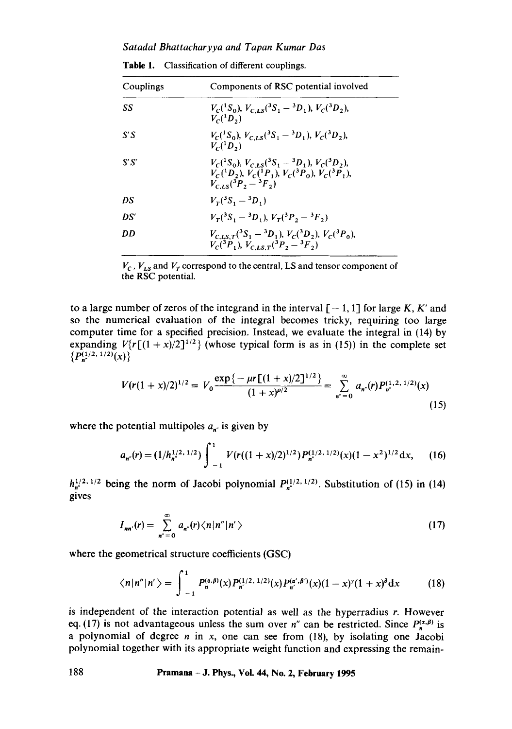*Satadal Bhattacharyya and Tapan Kumar Das* 

| Couplings | Components of RSC potential involved                                                                                                                                       |
|-----------|----------------------------------------------------------------------------------------------------------------------------------------------------------------------------|
| SS        | $V_c({}^1S_0)$ , $V_{C,LS}({}^3S_1-{}^3D_1)$ , $V_c({}^3D_2)$ ,<br>$V_c(^1D_2)$                                                                                            |
| S′S       | $V_c({}^1S_0)$ , $V_{CLS}({}^3S_1-{}^3D_1)$ , $V_c({}^3D_2)$ ,<br>$V_c(^1D_2)$                                                                                             |
| S′S′      | $V_c({}^1S_0)$ , $V_{c,LS}({}^3S_1-{}^3D_1)$ , $V_c({}^3D_2)$ ,<br>$V_c({}^1D_2)$ , $V_c({}^1P_1)$ , $V_c({}^3P_0)$ , $V_c({}^3P_1)$ ,<br>$V_{C,LS}({}^{3}P,-{}^{3}F_{1})$ |
| DS        | $V_r({}^3S_1-{}^3D_1)$                                                                                                                                                     |
| DS'       | $V_r({}^3S_1-{}^3D_1), V_r({}^3P_2-{}^3F_2)$                                                                                                                               |
| DD        | $V_{C,LS,T}({}^3S_1-{}^3D_1)$ , $V_C({}^3D_2)$ , $V_C({}^3P_0)$ ,<br>$V_c({}^3P_1), V_{CIST}({}^3P_2-{}^3F_2)$                                                             |

| Table 1.<br>Classification of different couplings. |
|----------------------------------------------------|
|----------------------------------------------------|

 $V_c$ ,  $V_{LS}$  and  $V_T$  correspond to the central, LS and tensor component of the RSC potential.

to a large number of zeros of the integrand in the interval  $[-1, 1]$  for large K, K' and so the numerical evaluation of the integral becomes tricky, requiring too large computer time for a specified precision. Instead, we evaluate the integral in (14) by expanding  $V\{r[(1 + x)/2]^{1/2}\}\$  (whose typical form is as in (15)) in the complete set  ${P_n^{(1/2, 1/2)}(x)}$ 

$$
V(r(1+x)/2)^{1/2} = V_0 \frac{\exp\{-\mu r \left[(1+x)/2\right]^{1/2}\}}{(1+x)^{\rho/2}} = \sum_{n=-\infty}^{\infty} a_{n}(r) P_{n}^{(1,2,\,1/2)}(x)
$$
\n(15)

where the potential multipoles  $a_{n^r}$  is given by

$$
a_{n'}(r) = (1/h_{n'}^{1/2, 1/2}) \int_{-1}^{1} V(r((1+x)/2)^{1/2}) P_{n'}^{(1/2, 1/2)}(x) (1-x^2)^{1/2} dx, \qquad (16)
$$

 $h_{n'}^{1/2, 1/2}$  being the norm of Jacobi polynomial  $P_{n'}^{(1/2, 1/2)}$ . Substitution of (15) in (14) gives

$$
I_{nn'}(r) = \sum_{n''=0}^{\infty} a_{n'}(r) \langle n|n''|n' \rangle \qquad (17)
$$

where the geometrical structure coefficients (GSC)

$$
\langle n|n''|n'\rangle = \int_{-1}^1 P_n^{(\alpha,\beta)}(x) P_{n'}^{(1/2,\,1/2)}(x) P_{n'}^{(\alpha',\beta')}(x) (1-x)^{\gamma} (1+x)^{\delta} \mathrm{d}x \tag{18}
$$

is independent of the interaction potential as well as the hyperradius r. However eq. (17) is not advantageous unless the sum over n'' can be restricted. Since  $P_n^{(\alpha,\beta)}$  is a polynomial of degree  $n$  in  $x$ , one can see from (18), by isolating one Jacobi polynomial together with its appropriate weight function and expressing the remain-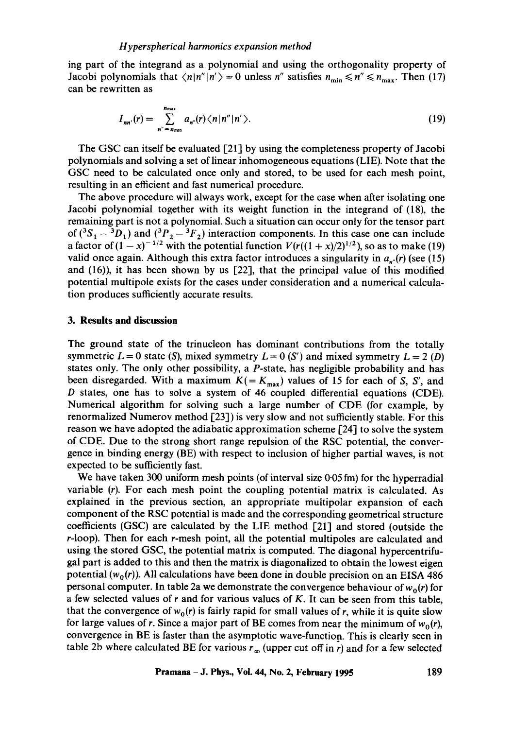ing part of the integrand as a polynomial and using the orthogonality property of Jacobi polynomials that  $\langle n|n''|n'\rangle=0$  unless *n*" satisfies  $n_{\min}\leq n''\leq n_{\max}$ . Then (17) can be rewritten as

$$
I_{nn'}(r) = \sum_{n''=n_{\text{min}}}^{n_{\text{max}}} a_{n''}(r) \langle n | n'' | n' \rangle.
$$
 (19)

The GSC can itself be evaluated  $[21]$  by using the completeness property of Jacobi polynomials and solving a set of linear inhomogeneous equations (LIE). Note that the GSC need to be calculated once only and stored, to be used for each mesh point, resulting in an efficient and fast numerical procedure.

The above procedure will always work, except for the case when after isolating one Jacobi polynomial together with its weight function in the integrand of (18), the remaining part is not a polynomial. Such a situation can occur only for the tensor part of  $({}^3S_1 - {}^3D_1)$  and  $({}^3P_2 - {}^3F_2)$  interaction components. In this case one can include a factor of  $(1 - x)^{-1/2}$  with the potential function  $V(r((1 + x)/2)^{1/2})$ , so as to make (19) valid once again. Although this extra factor introduces a singularity in  $a_{n'}(r)$  (see (15) and (16)), it has been shown by us [22], that the principal value of this modified potential multipole exists for the cases under consideration and a numerical calculation produces sufficiently accurate results.

#### **3. Results and discussion**

The ground state of the trinucleon has dominant contributions from the totally symmetric  $L = 0$  state (S), mixed symmetry  $L = 0$  (S') and mixed symmetry  $L = 2$  (D) states only. The only other possibility, a P-state, has negligible probability and has been disregarded. With a maximum  $K( = K_{\text{max}})$  values of 15 for each of S, S', and D states, one has to solve a system of 46 coupled differential equations (CDE). Numerical algorithm for solving such a large number of CDE (for example, by renormalized Numerov method  $\lceil 23 \rceil$ ) is very slow and not sufficiently stable. For this reason we have adopted the adiabatic approximation scheme [24] to solve the system of CDE. Due to the strong short range repulsion of the RSC potential, the convergence in binding energy (BE) with respect to inclusion of higher partial waves, is not expected to be sufficiently fast.

We have taken 300 uniform mesh points (of interval size 0.05 fm) for the hyperradial variable (r). For each mesh point the coupling potential matrix is calculated. As explained in the previous section, an appropriate multipolar expansion of each component of the RSC potential is made and the corresponding geometrical structure coefficients (GSC) are calculated by the LIE method [21] and stored (outside the r-loop). Then for each r-mesh point, all the potential multipoles are calculated and using the stored GSC, the potential matrix is computed. The diagonal hypercentrifugal part is added to this and then the matrix is diagonalized to obtain the lowest eigen potential  $(w_0(r))$ . All calculations have been done in double precision on an EISA 486 personal computer. In table 2a we demonstrate the convergence behaviour of  $w_0(r)$  for a few selected values of  $r$  and for various values of  $K$ . It can be seen from this table, that the convergence of  $w_0(r)$  is fairly rapid for small values of r, while it is quite slow for large values of r. Since a major part of BE comes from near the minimum of  $w_0(r)$ , convergence in BE is faster than the asymptotic wave-function. This is clearly seen in table 2b where calculated BE for various  $r_{\infty}$  (upper cut off in r) and for a few selected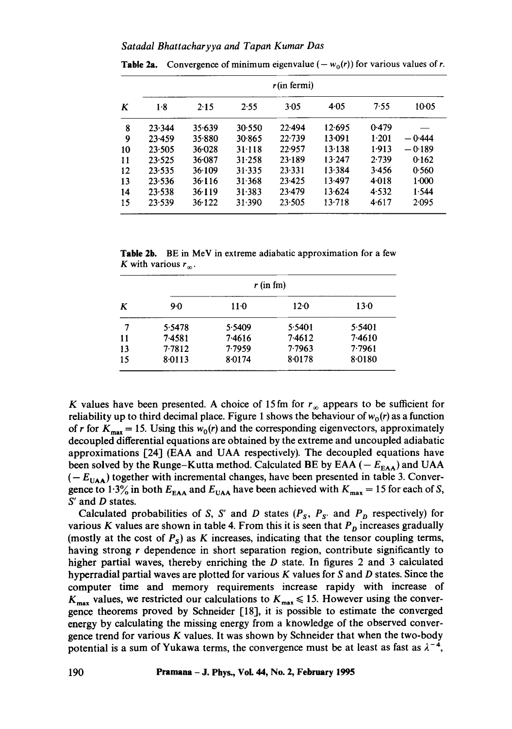|    | r(in fermi) |            |            |            |        |       |          |
|----|-------------|------------|------------|------------|--------|-------|----------|
| K  | $1-8$       | 2.15       | 2.55       | 3.05       | 4.05   | 7.55  | 10.05    |
| 8  | 23.344      | 35.639     | 30.550     | $22 - 494$ | 12.695 | 0.479 |          |
| 9  | $23-459$    | 35.880     | 30.865     | 22.739     | 13.091 | 1.201 | $-0.444$ |
| 10 | 23.505      | $36 - 028$ | 31.118     | 22.957     | 13.138 | 1.913 | $-0.189$ |
| 11 | 23.525      | 36.087     | 31.258     | 23.189     | 13.247 | 2.739 | 0.162    |
| 12 | 23.535      | 36.109     | 31.335     | 23.331     | 13.384 | 3.456 | 0.560    |
| 13 | 23.536      | 36.116     | 31.368     | 23.425     | 13.497 | 4.018 | $1-000$  |
| 14 | 23.538      | 36.119     | 31.383     | 23.479     | 13.624 | 4.532 | 1.544    |
| 15 | 23.539      | 36.122     | $31 - 390$ | 23.505     | 13.718 | 4.617 | 2.095    |

**Table 2a.** Convergence of minimum eigenvalue  $(-w_0(r))$  for various values of r.

**Table** 2b. BE in MeV in extreme adiabatic approximation for a few K with various  $r_{\infty}$ .

|           | $r$ (in fm) |        |        |        |  |  |
|-----------|-------------|--------|--------|--------|--|--|
| K         | 9.0         | $11-0$ | $12-0$ | 13.0   |  |  |
| 7         | 5.5478      | 5.5409 | 5.5401 | 5.5401 |  |  |
| <b>11</b> | 7.4581      | 7.4616 | 7.4612 | 7.4610 |  |  |
| 13        | 7.7812      | 7.7959 | 7.7963 | 7.7961 |  |  |
| 15        | 8.0113      | 8.0174 | 8.0178 | 8.0180 |  |  |

K values have been presented. A choice of 15 fm for  $r_{\infty}$  appears to be sufficient for reliability up to third decimal place. Figure 1 shows the behaviour of  $w_0(r)$  as a function of r for  $K_{\text{max}} = 15$ . Using this  $w_0(r)$  and the corresponding eigenvectors, approximately decoupled differential equations are obtained by the extreme and uncoupled adiabatic approximations [24] (EAA and UAA respectively). The decoupled equations have been solved by the Runge-Kutta method. Calculated BE by EAA ( $-E_{\text{EAA}}$ ) and UAA  $(-E_{UAA})$  together with incremental changes, have been presented in table 3. Convergence to 1.3% in both  $E_{EAA}$  and  $E_{UAA}$  have been achieved with  $K_{max} = 15$  for each of S, S' and D states.

Calculated probabilities of S, S' and D states  $(P_S, P_{S'}$  and  $P_D$  respectively) for various K values are shown in table 4. From this it is seen that  $P<sub>D</sub>$  increases gradually (mostly at the cost of  $P_s$ ) as K increases, indicating that the tensor coupling terms, having strong r dependence in short separation region, contribute significantly to higher partial waves, thereby enriching the D state. In figures 2 and 3 calculated hyperradial partial waves are plotted for various K values for S and D states. Since the computer time and memory requirements increase rapidy with increase of  $K_{\text{max}}$  values, we restricted our calculations to  $K_{\text{max}} \le 15$ . However using the convergence theorems proved by Schneider [18], it is possible to estimate the converged energy by calculating the missing energy from a knowledge of the observed convergence trend for various K values. It was shown by Schneider that when the two-body potential is a sum of Yukawa terms, the convergence must be at least as fast as  $\lambda^{-4}$ ,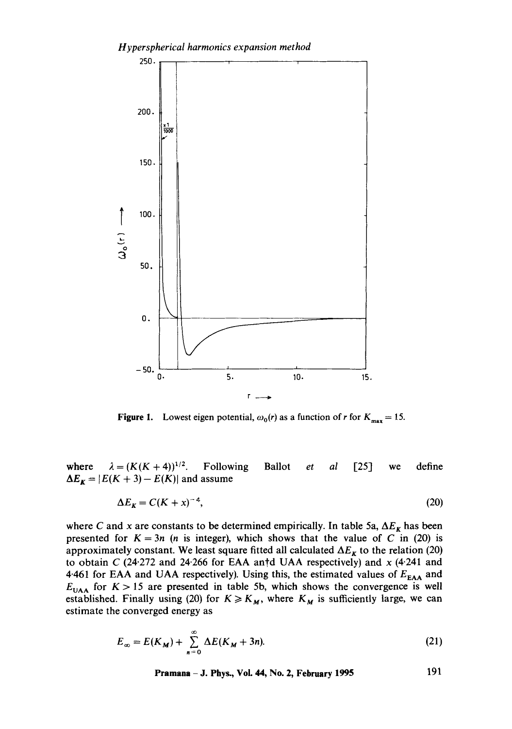

**Figure 1.** Lowest eigen potential,  $\omega_0(r)$  as a function of r for  $K_{\text{max}} = 15$ .

where  $\lambda = (K(K+4))^{1/2}$ . Following  $\Delta E_K = |E(K+3) - E(K)|$  and assume Ballot *et al* [25] we define

$$
\Delta E_K = C(K + x)^{-a},\tag{20}
$$

where C and x are constants to be determined empirically. In table 5a,  $\Delta E_K$  has been presented for  $K = 3n$  (*n* is integer), which shows that the value of C in (20) is approximately constant. We least square fitted all calculated  $\Delta E_{\kappa}$  to the relation (20) to obtain C (24.272 and 24.266 for EAA antid UAA respectively) and  $x$  (4.241 and 4.461 for EAA and UAA respectively). Using this, the estimated values of  $E_{\text{EAA}}$  and  $E<sub>UAA</sub>$  for  $K > 15$  are presented in table 5b, which shows the convergence is well established. Finally using (20) for  $K \ge K_M$ , where  $K_M$  is sufficiently large, we can estimate the converged energy as

$$
E_{\infty} = E(K_M) + \sum_{n=0}^{\infty} \Delta E(K_M + 3n). \tag{21}
$$

**Pramana - J. Phys., Vol. 44, No. 2, February 1995 191**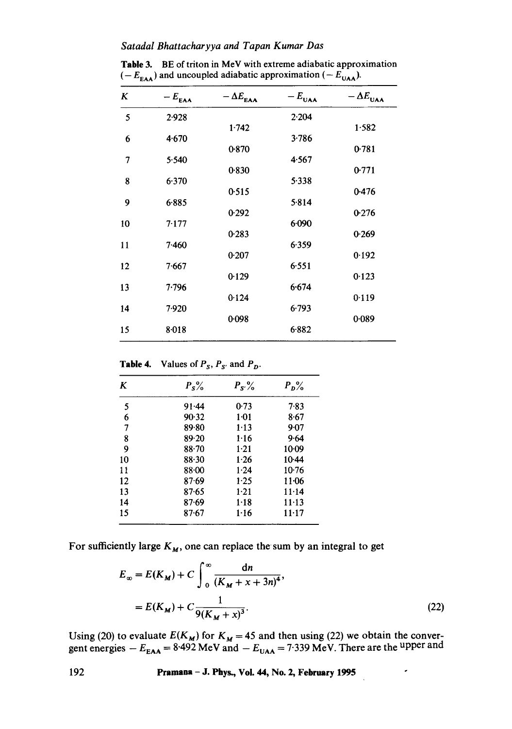#### *Satadal Bhattacharyya and Tapan Kumar Das*

| <b>THE S.</b> DE OFTICITIE MEY WILL CALLELLE adjabance approximation<br>$(-E_{\text{EAA}})$ and uncoupled adiabatic approximation $(-E_{\text{UAA}})$ . |            |                   |       |                                             |  |  |
|---------------------------------------------------------------------------------------------------------------------------------------------------------|------------|-------------------|-------|---------------------------------------------|--|--|
| K                                                                                                                                                       | $-E_{EAA}$ | $-\Delta E_{EAA}$ |       | $-E_{\text{UAA}}$ $- \Delta E_{\text{UAA}}$ |  |  |
|                                                                                                                                                         | 2.028      |                   | 2.204 |                                             |  |  |

**Table** 3. BE of triton in MeV with extreme adiabatic approximation

| ĸ  | $-E_{EAA}$ | $-\Delta E_{EAA}$ | $-\mathbf{r}_{\mathsf{U}\mathsf{A}\mathsf{A}}$ | $-\Delta E_{\text{UAA}}$ |
|----|------------|-------------------|------------------------------------------------|--------------------------|
| 5  | 2.928      |                   | 2.204                                          |                          |
|    |            | 1.742             |                                                | 1.582                    |
| 6  | 4.670      |                   | 3.786                                          |                          |
|    |            | 0.870             |                                                | 0.781                    |
| 7  | 5.540      |                   | 4.567                                          |                          |
|    |            | 0.830             |                                                | 0.771                    |
| 8  | 6.370      |                   | 5.338                                          |                          |
|    |            | 0.515             |                                                | 0.476                    |
| 9  | 6.885      |                   | 5.814                                          |                          |
| 10 | 7.177      | 0.292             | 6.090                                          | 0.276                    |
|    |            | 0.283             |                                                | 0.269                    |
| 11 | 7.460      |                   | 6.359                                          |                          |
|    |            | 0.207             |                                                | 0.192                    |
| 12 | 7.667      |                   | 6.551                                          |                          |
|    |            | 0.129             |                                                | 0.123                    |
| 13 | 7.796      |                   | 6.674                                          |                          |
|    |            | 0.124             |                                                | 0.119                    |
| 14 | 7.920      |                   | 6.793                                          |                          |
|    |            | 0.098             |                                                | 0.089                    |
| 15 | 8.018      |                   | 6.882                                          |                          |
|    |            |                   |                                                |                          |

**Table 4.** Values of  $P_S$ ,  $P_{S'}$  and  $P_D$ .

| K  | $P_s\%$   | $P_{S'}\%$ | $P_D^{\circ}$ |
|----|-----------|------------|---------------|
| 5  | 91.44     | 0.73       | 7.83          |
| 6  | 90.32     | $1-01$     | 8.67          |
| 7  | 89.80     | 1.13       | 9.07          |
| 8  | 89.20     | 1.16       | 9.64          |
| 9  | $88 - 70$ | $1 - 21$   | $10-09$       |
| 10 | 88.30     | 1.26       | $10-44$       |
| 11 | 88.00     | 1.24       | $10-76$       |
| 12 | 87.69     | 1.25       | $11-06$       |
| 13 | $87 - 65$ | $1-21$     | 11.14         |
| 14 | 87.69     | $1-18$     | $11 - 13$     |
| 15 | $87 - 67$ | 1.16       | $11 - 17$     |

For sufficiently large  $K_M$ , one can replace the sum by an integral to get

$$
E_{\infty} = E(K_M) + C \int_0^{\infty} \frac{dn}{(K_M + x + 3n)^4},
$$
  
=  $E(K_M) + C \frac{1}{9(K_M + x)^3}.$  (22)

Using (20) to evaluate  $E(K_M)$  for  $K_M = 45$  and then using (22) we obtain the convergent energies  $-E_{\text{EAA}} = 8.492 \text{ MeV}$  and  $-E_{\text{UAA}} = 7.339 \text{ MeV}$ . There are the upper and

**192 Pramana - J. Phys., Voi. 44, No. 2, February 1995**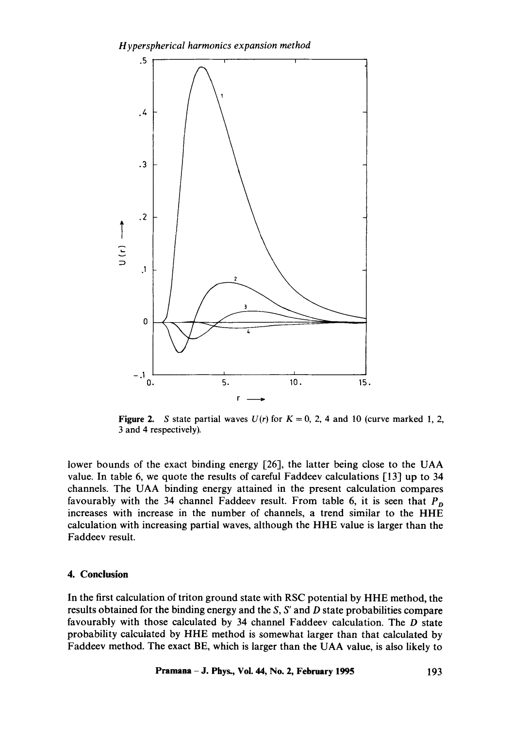

**Figure 2.** S state partial waves  $U(r)$  for  $K = 0, 2, 4$  and 10 (curve marked 1, 2, 3 and 4 respectively).

lower bounds of the exact binding energy [26], the latter being close to the UAA value. In table 6, we quote the results of careful Faddeev calculations  $\lceil 13 \rceil$  up to 34 channels. The UAA binding energy attained in the present calculation compares favourably with the 34 channel Faddeev result. From table 6, it is seen that  $P<sub>n</sub>$ increases with increase in the number of channels, a trend similar to the HHE calculation with increasing partial waves, although the HHE value is larger than the Faddeev result.

### **4. Conclusion**

In the first calculation of triton ground state with RSC potential by HHE method, the results obtained for the binding energy and the *S, S'* and D state probabilities compare favourably with those calculated by 34 channel Faddeev calculation. The D state probability calculated by HHE method is somewhat larger than that calculated by Faddeev method. The exact BE, which is larger than the UAA value, is also likely to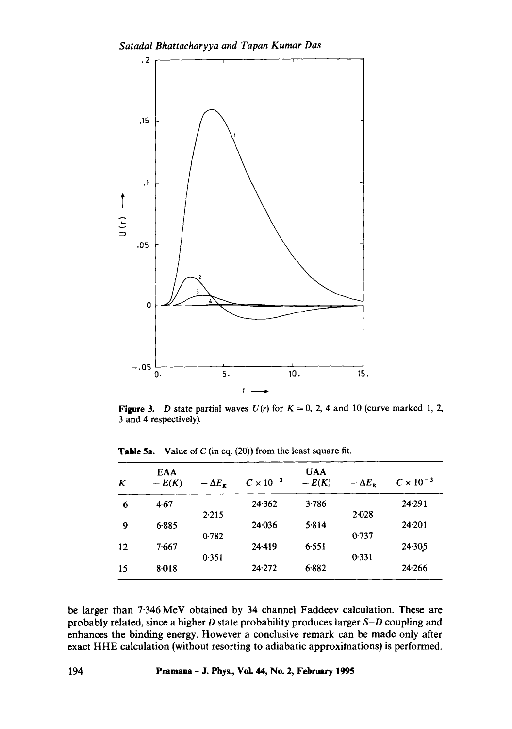

Figure 3. *D* state partial waves  $U(r)$  for  $K = 0, 2, 4$  and 10 (curve marked 1, 2, 3 and 4 respectively).

| K  | <b>EAA</b><br>$-E(K)$ | $-\Delta E_{\kappa}$ | $C \times 10^{-3}$ | <b>UAA</b><br>$-E(K)$ | $-\Delta E_r$ | $C \times 10^{-3}$ |
|----|-----------------------|----------------------|--------------------|-----------------------|---------------|--------------------|
| 6  | 4.67                  |                      | 24.362             | 3.786                 |               | 24.291             |
|    |                       | 2.215                |                    |                       | 2.028         |                    |
| 9  | 6.885                 |                      | 24.036             | 5.814                 |               | 24.201             |
|    |                       | 0.782                |                    |                       | 0.737         |                    |
| 12 | 7.667                 |                      | 24.419             | 6.551                 |               | $24 - 305$         |
|    |                       | 0.351                |                    |                       | 0.331         |                    |
| 15 | 8.018                 |                      | 24.272             | 6.882                 |               | 24.266             |

Table 5a. Value of  $C$  (in eq. (20)) from the least square fit.

be larger than 7.346 MeV obtained by 34 channel Faddeev calculation. These are probably related, since a higher D state probability produces larger *S-D* coupling and enhances the binding energy. However a conclusive remark can be made only after exact HHE calculation (without resorting to adiabatic approximations) is performed.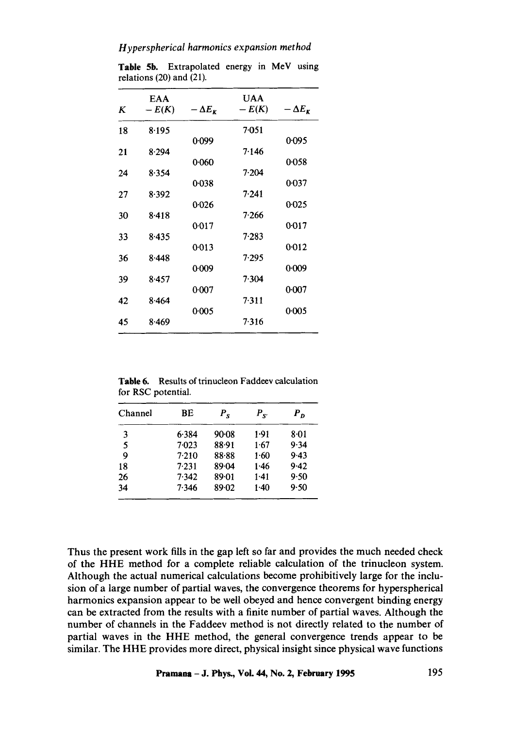# *H yperspherical harmonics expansion method*

| K  | EAA<br>$-E(K)$ | $-\Delta E_{\nu}$ | <b>UAA</b><br>$-E(K)$ | $-\Delta E_{\kappa}$ |
|----|----------------|-------------------|-----------------------|----------------------|
| 18 | 8.195          |                   | 7.051                 |                      |
|    |                | 0.099             |                       | 0.095                |
| 21 | 8.294          |                   | 7.146                 |                      |
|    |                | 0.060             |                       | 0.058                |
| 24 | 8.354          |                   | 7.204                 |                      |
|    |                | $0 - 038$         |                       | 0.037                |
| 27 | 8.392          |                   | 7.241                 |                      |
|    |                | 0.026             |                       | 0.025                |
| 30 | 8.418          |                   | 7.266                 |                      |
|    |                | 0.017             |                       | 0.017                |
| 33 | 8.435          |                   | 7.283                 |                      |
|    |                | 0:013             |                       | 0:012                |
| 36 | 8.448          |                   | 7.295                 |                      |
|    |                | 0:009             |                       | 0.009                |
| 39 | 8.457          |                   | 7.304                 |                      |
|    |                | 0.007             |                       | 0:007                |
| 42 | 8.464          |                   | 7.311                 |                      |
|    |                | 0.005             |                       | 0.005                |
| 45 | 8.469          |                   | 7.316                 |                      |
|    |                |                   |                       |                      |

Table 5b. Extrapolated energy in MeV using relations (20) and (21).

Table 6. Results of trinucleon Faddeev calculation for RSC potential.

| Channel | ВE    | $P_{\rm g}$ | $P_{S'}$ | $P_{\bm{D}}$ |
|---------|-------|-------------|----------|--------------|
| 3       | 6.384 | $90-08$     | 1.91     | 8.01         |
| 5       | 7.023 | 88.91       | 1.67     | 9.34         |
| 9       | 7.210 | 88.88       | 1.60     | 9.43         |
| 18      | 7.231 | 89.04       | 1.46     | 9.42         |
| 26      | 7.342 | 89.01       | 1-41     | 9.50         |
| 34      | 7.346 | 89.02       | 1.40     | 9.50         |

Thus the present work fills in the gap left so far and provides the much needed check of the HHE method for a complete reliable calculation of the trinucleon system. Although the actual numerical calculations become prohibitively large for the inclusion of a large number of partial waves, the convergence theorems for hyperspherical harmonics expansion appear to be well obeyed and hence convergent binding energy can be extracted from the results with a finite number of partial waves. Although the number of channels in the Faddeev method is not directly related to the number of partial waves in the HHE method, the general convergence trends appear to be similar. The HHE provides more direct, physical insight since physical wave functions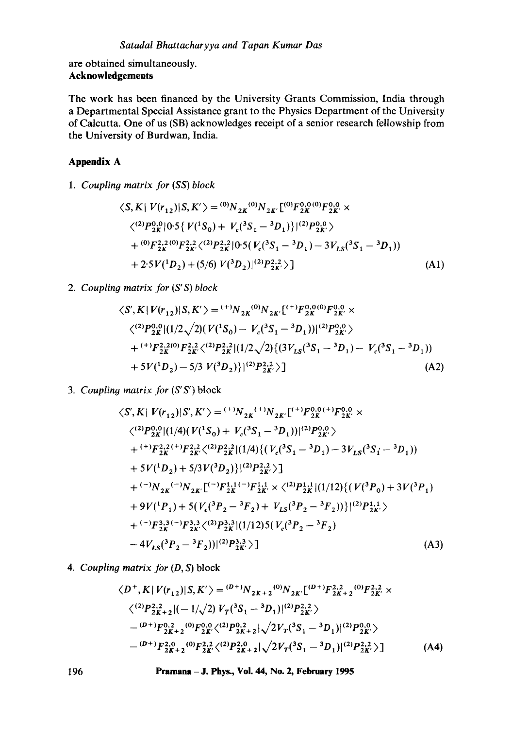are obtained simultaneously. **Acknowledgements** 

The work has been financed by the University Grants Commission, India through a Departmental Special Assistance grant to the Physics Department of the University of Calcutta. One of us (SB) acknowledges receipt of a senior research fellowship from the University of Burdwan, India.

# **Appendix A**

*1. Coupling matrix for (SS) block* 

$$
\langle S, K | V(r_{12}) | S, K' \rangle = {}^{(0)}N_{2K} {}^{(0)}N_{2K'} [{}^{(0)}F_{2K}^{0,0} {}^{(0)}F_{2K}^{0,0} \times
$$
  

$$
\langle {}^{(2)}P_{2K}^{0} | 0.5 \{ V({}^{1}S_{0}) + V_{c}({}^{3}S_{1} - {}^{3}D_{1}) \} | {}^{(2)}P_{2K'}^{0,0} \rangle
$$
  
+ 
$$
{}^{(0)}F_{2K}^{2,2} {}^{(0)}F_{2K'}^{2,2} \langle {}^{(2)}P_{2K}^{2,2} | 0.5 (V_{c}({}^{3}S_{1} - {}^{3}D_{1}) - 3V_{LS}({}^{3}S_{1} - {}^{3}D_{1}))
$$
  
+ 
$$
2.5V({}^{1}D_{2}) + (5/6) V({}^{3}D_{2}) | {}^{(2)}P_{2K'}^{2,2} \rangle ]
$$
 (A1)

# *2. Coupling matrix for (S' S) block*

$$
\langle S', K | V(r_{12}) | S, K' \rangle = {}^{(+)}N_{2K}{}^{(0)}N_{2K'}[{}^{(+)}F_{2K}^{0,0}{}^{(0)}F_{2K'}^{0,0} \times
$$
  

$$
\langle {}^{(2)}P_{2K}^{0} | (1/2\sqrt{2})(V({}^{1}S_{0}) - V_{c}({}^{3}S_{1} - {}^{3}D_{1})) | {}^{(2)}P_{2K'}^{0,0} \rangle
$$
  

$$
+ {}^{(+)}F_{2K}^{2,2}{}^{(0)}F_{2K'}^{2,2} \langle {}^{(2)}P_{2K}^{2,2}| (1/2\sqrt{2}) \{ (3V_{LS}({}^{3}S_{1} - {}^{3}D_{1}) - V_{c}({}^{3}S_{1} - {}^{3}D_{1}))
$$
  

$$
+ 5V({}^{1}D_{2}) - 5/3 V({}^{3}D_{2}) \} | {}^{(2)}P_{2K'}^{2,2} \rangle ]
$$
 (A2)

*3. Coupling matrix for (S'S')* block

$$
\langle S', K | V(r_{12}) | S', K' \rangle = {}^{(+)}N_{2K}{}^{(+)}N_{2K'}[{}^{(+)}F_{2K}^{0,0(+)}F_{2K'}^{0,0} \times
$$
  

$$
\langle {}^{(2)}P_{2K}^{0,0}| (1/4) (V(^{1}S_{0}) + V_{c}({}^{3}S_{1} - {}^{3}D_{1})) | {}^{(2)}P_{2K}^{0,0} \rangle
$$
  

$$
+ {}^{(+)}F_{2K}^{2,2}({}^{+})F_{2K}^{2,2} \langle {}^{(2)}P_{2K}^{2,2}| (1/4) \{ (V_{c}({}^{3}S_{1} - {}^{3}D_{1}) - 3V_{LS}({}^{3}S_{1} - {}^{3}D_{1}) \} \times {}^{5}V({}^{1}D_{2}) + 5/3V({}^{3}D_{2}) \} | {}^{(2)}P_{2K}^{2,2} \rangle ]
$$
  

$$
+ {}^{(-)}N_{2K}{}^{(-)}N_{2K} [{}^{(-)}F_{2K}^{1,1}{}^{(-)}F_{2K}^{1,1} \times \langle {}^{(2)}P_{2K}^{1,1}| (1/12) \{ (V({}^{3}P_{0}) + 3V({}^{3}P_{1}) \} \times {}^{4}V({}^{1}P_{1}) + 5(V_{c}({}^{3}P_{2} - {}^{3}F_{2}) + V_{LS}({}^{3}P_{2} - {}^{3}F_{2})) \} | {}^{(2)}P_{2K'}^{1,1} \rangle
$$
  

$$
+ {}^{(-)}F_{2K}^{3,3}{}^{(-)}F_{2K}^{3,3} \langle {}^{(2)}P_{2K}^{3,3}| (1/12) 5 (V_{c}({}^{3}P_{2} - {}^{3}F_{2}) - {}^{4}V_{LS}({}^{3}P_{2} - {}^{3}F_{2})) | {}^{(2)}P_{2K}^{3,3} \rangle ]
$$
  
(A3)

**.**  *Coupling matrix for (D, S)* block

$$
\langle D^+, K | V(r_{12}) | S, K' \rangle = {}^{(D^+)}N_{2K+2} {}^{(0)}N_{2K'} [{}^{(D^+)}F_{2K+2}^{2,2} {}^{(0)}F_{2K'}^{2,2} \times
$$
  

$$
\langle {}^{(2)}P_{2K+2}^{2,2} | (-1/\sqrt{2}) V_T ({}^3S_1 - {}^3D_1) | {}^{(2)}P_{2K'}^{2,2} \rangle
$$
  

$$
- {}^{(D^+)}F_{2K+2} {}^{(0)}F_{2K'} {}^{(2)}P_{2K+2} {}^{(2)}\sqrt{2V_T ({}^3S_1 - {}^3D_1) | {}^{(2)}P_{2K'}^{0,0} \rangle}
$$
  

$$
- {}^{(D^+)}F_{2K+2} {}^{(0)}F_{2K'}^{2,2} \langle {}^{(2)}P_{2K+2}^{2,0} | \sqrt{2V_T ({}^3S_1 - {}^3D_1) | {}^{(2)}P_{2K'}^{2,2} \rangle} ]
$$
 (A4)

**196 Pramana -J. Phys., Vol. 44, No. 2, February 1995**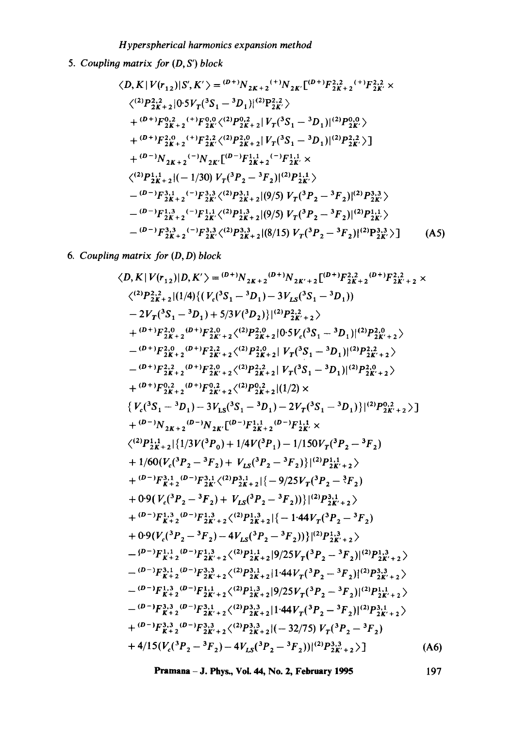# *Hyperspherical harmonics expansion method*

*5. Coupling matrix for* (D, *S') block* 

$$
\langle D, K | V(r_{12}) | S', K' \rangle = {}^{(D+)}N_{2K+2}{}^{(+)}N_{2K'}[{}^{(D+)}F_{2K+2}^{2,2}{}^{(+)}F_{2K}^{2,2} \times
$$
  

$$
\langle {}^{(2)}P_{2K+2}^{2,2} | 0.5V_T({}^{3}S_1 - {}^{3}D_1)|{}^{(2)}P_{2K'}^{2,2} \rangle
$$
  
+ {}^{(D+)}F\_{2K+2}^{0,2}{}^{(+)}F\_{2K'}^{0,0} \langle {}^{(2)}P\_{2K+2}^{0,2} | V\_T({}^{3}S\_1 - {}^{3}D\_1)|{}^{(2)}P\_{2K'}^{0,0} \rangle  
+ {}^{(D+)}F\_{2K+2}^{2,0}{}^{(+)}F\_{2K'}^{2,2} \langle {}^{(2)}P\_{2K+2}^{2,0} | V\_T({}^{3}S\_1 - {}^{3}D\_1)|{}^{(2)}P\_{2K'}^{2,2} \rangle ]  
+ {}^{(D-)}N\_{2K+2}{}^{(-)}N\_{2K'}[{}^{(D-)}F\_{2K+2}^{1,1}{}^{(-)}F\_{2K}^{1,1} \times  
< {}^{(2)}P\_{2K+2}^{1,1} | (-1/30) V\_T({}^{3}P\_2 - {}^{3}F\_2)|{}^{(2)}P\_{2K'}^{1,1} \rangle  
- {}^{(D-)}F\_{2K+2}^{3,1}{}^{(-)}F\_{2K'}^{3,3} \langle {}^{(2)}P\_{2K+2}^{3,1} | (9/5) V\_T({}^{3}P\_2 - {}^{3}F\_2)|{}^{(2)}P\_{2K'}^{3,3} \rangle  
- {}^{(D-)}F\_{2K+2}^{1,3}{}^{(-)}F\_{2K'}^{1,1} \langle {}^{(2)}P\_{2K+2}^{1,3} | (9/5) V\_T({}^{3}P\_2 - {}^{3}F\_2)|{}^{(2)}P\_{2K'}^{1,1} \rangle  
- {}^{(D-)}F\_{2K+2}^{3,3}{}^{(-)}F\_{2K'}^{3,3} \langle {}^{(2)}P\_{2K+2}^{3,3} | (8/15) V\_T({}^{3}P\_2 - {}^{3}F\_2)|{}^{(2)}P\_{2K'}^{3,3} \rangle ] \qquad (A5)

*6. Coupling matrix for (D, D) block* 

$$
\langle D, K | V(r_{12}) | D, K' \rangle = {}^{(D+1)}N_{2K+2}{}^{(D+1)}N_{2K'+2}[^{(D+1)}F_{2K+2}^{2,2}{}^{(D+1)}F_{2K+2}^{2,2}{}^{(D+1)}F_{2K+2}^{2,2}{}^{(D+1)}F_{2K+2}^{2,2}{}^{(D+1)}F_{2K+2}^{2,2}{}^{(D+1)}F_{2K+2}^{2,2}{}^{(D+1)}F_{2K+2}^{2,0}{}^{(D+1)}F_{2K+2}^{2,0}{}^{(D+1)}F_{2K+2}^{2,0}{}^{(2)}P_{2K+2}^{2,0}{}^{(2)}F_{2K+2}^{2,0}{}^{(2)}F_{2K+2}^{2}{}^{(2)}F_{2K+2}^{2}{}^{(2)}F_{2K+2}^{2}{}^{(2)}F_{2K+2}^{2}{}^{(2)}F_{2K+2}^{2}{}^{(2)}F_{2K+2}^{2}{}^{(2)}F_{2K+2}^{2}{}^{(2)}F_{2K+2}^{2}{}^{(2)}F_{2K+2}^{2}{}^{(2)}F_{2K+2}^{2}{}^{(2)}F_{2K+2}^{2}{}^{(2)}F_{2K+2}^{2}{}^{(2)}F_{2K+2}^{2}{}^{(2)}F_{2K+2}^{2}{}^{(2)}F_{2K+2}^{2}{}^{(2)}F_{2K+2}^{2}{}^{(2)}F_{2K+2}^{2}{}^{(2)}F_{2K+2}^{2}{}^{(2)}F_{2K+2}^{2}{}^{(2)}F_{2K+2}^{2}{}^{(2)}F_{2K+2}^{2}{}^{(2)}F_{2K+2}^{2}{}^{(2)}F_{2K+2}^{2}{}^{(2)}F_{2K+2}^{2}{}^{(2)}F_{2K+2}^{2}{}^{(2)}F_{2K+2}^{2}{}^{(2)}F_{2K+2}^{2}{}^{(2)}F_{2K+2}^{2}{}^{(2)}F_{2K+2}^{2}{}^{(2)}F_{2K+2}^{2}{}^{(2)}F_{2K+2}^{2}{}^{(2)}F_{2K+2}^{2}{}^{(2)}F_{2K+2}^{2}{}^{(2)}F_{2K+2}^{
$$

**Pramana - J. Phys., Voi. 44, No. 2, February 1995** 197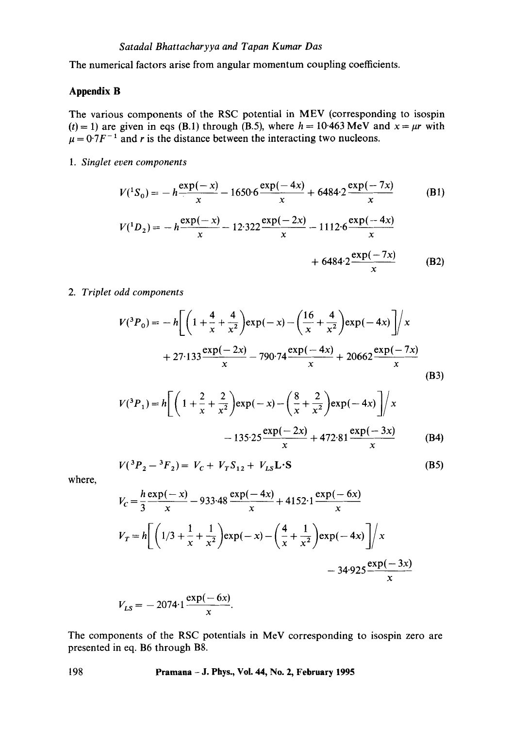The numerical factors arise from angular momentum coupling coefficients.

# **Appendix B**

The various components of the RSC potential in MEV (corresponding to isospin (t) = 1) are given in eqs (B.1) through (B.5), where  $h = 10.463 \text{ MeV}$  and  $x = \mu r$  with  $\mu = 0.7F^{-1}$  and r is the distance between the interacting two nucleons.

*1. Singlet even components* 

$$
V(^{1}S_{0}) = -h \frac{\exp(-x)}{x} - 1650 \cdot 6 \frac{\exp(-4x)}{x} + 6484 \cdot 2 \frac{\exp(-7x)}{x}
$$
(B1)  

$$
V(^{1}D_{2}) = -h \frac{\exp(-x)}{x} - 12 \cdot 322 \frac{\exp(-2x)}{x} - 1112 \cdot 6 \frac{\exp(-4x)}{x}
$$

$$
+ 6484 \cdot 2 \frac{\exp(-7x)}{x}
$$
(B2)

*2. Triplet odd components* 

$$
V(^{3}P_{0}) = -h \left[ \left( 1 + \frac{4}{x} + \frac{4}{x^{2}} \right) \exp(-x) - \left( \frac{16}{x} + \frac{4}{x^{2}} \right) \exp(-4x) \right] / x
$$
  
+ 27.133  $\frac{\exp(-2x)}{x}$  - 790.74  $\frac{\exp(-4x)}{x}$  + 20662  $\frac{\exp(-7x)}{x}$  (B3)

$$
V(^{3}P_{1}) = h \left[ \left( 1 + \frac{2}{x} + \frac{2}{x^{2}} \right) \exp(-x) - \left( \frac{8}{x} + \frac{2}{x^{2}} \right) \exp(-4x) \right] / x -135 \cdot 25 \frac{\exp(-2x)}{x} + 472 \cdot 81 \frac{\exp(-3x)}{x}
$$
(B4)

$$
V(^{3}P_{2} - {}^{3}F_{2}) = V_{C} + V_{T}S_{12} + V_{LS}L \cdot S
$$
 (B5)

where,

$$
V_C = \frac{h \exp(-x)}{3} - 933.48 \frac{\exp(-4x)}{x} + 4152.1 \frac{\exp(-6x)}{x}
$$
  

$$
V_T = h \left[ \left( 1/3 + \frac{1}{x} + \frac{1}{x^2} \right) \exp(-x) - \left( \frac{4}{x} + \frac{1}{x^2} \right) \exp(-4x) \right] / x
$$
  

$$
- 34.925 \frac{\exp(-3x)}{x}
$$
  

$$
\exp(-6x)
$$

$$
V_{LS} = -2074.1 \frac{\exp(-6x)}{x}.
$$

The components of the RSC potentials in MeV corresponding to isospin zero are presented in eq. B6 through B8.

**198 Pramana - J. Phys., Vol. 44, No. 2, February 1995**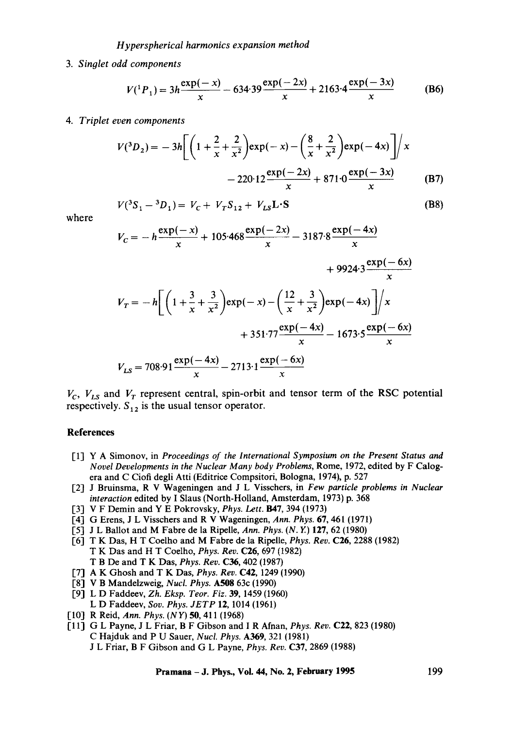#### *H yperspherical harmonics expansion method*

#### . *Singlet odd components*

$$
V({}^{1}P_{1}) = 3h \frac{\exp(-x)}{x} - 634.39 \frac{\exp(-2x)}{x} + 2163.4 \frac{\exp(-3x)}{x}
$$
 (B6)

*4. Triplet even components* 

$$
V(^{3}D_{2}) = -3h \left[ \left( 1 + \frac{2}{x} + \frac{2}{x^{2}} \right) \exp(-x) - \left( \frac{8}{x} + \frac{2}{x^{2}} \right) \exp(-4x) \right] / x -220 \cdot 12 \frac{\exp(-2x)}{x} + 871 \cdot 0 \frac{\exp(-3x)}{x}
$$
 (B7)

where

$$
V(^{3}S_{1} - {}^{3}D_{1}) = V_{C} + V_{T}S_{12} + V_{LS}L \cdot S
$$
 (B8)

$$
V_C = -h \frac{\exp(-x)}{x} + 105.468 \frac{\exp(-2x)}{x} - 3187.8 \frac{\exp(-4x)}{x}
$$
  
+ 9924.3  $\frac{\exp(-6x)}{x}$   

$$
V_T = -h \left[ \left( 1 + \frac{3}{x} + \frac{3}{x^2} \right) \exp(-x) - \left( \frac{12}{x} + \frac{3}{x^2} \right) \exp(-4x) \right] / x
$$
  
+ 351.77  $\frac{\exp(-4x)}{x}$  - 1673.5  $\frac{\exp(-6x)}{x}$   

$$
V_{LS} = 708.91 \frac{\exp(-4x)}{x} - 2713.1 \frac{\exp(-6x)}{x}
$$

 $V_c$ ,  $V_{LS}$  and  $V_T$  represent central, spin-orbit and tensor term of the RSC potential respectively.  $S_{12}$  is the usual tensor operator.

#### **References**

- [1] Y A Simonov, in *Proceedings of the International Symposium on the Present Status and Novel Developments in the Nuclear Many body Problems,* Rome, 1972, edited by F Calogera and C Ciofi degli Atti (Editrice Compsitori, Bologna, 1974), p. 527
- [2] J Bruinsma, R V Wageningen and J L Visschers, in *Few particle problems in Nuclear interaction* edited by I Slaus (North-Holland, Amsterdam, 1973) p. 368
- [3] V F Demin and Y E Pokrovsky, *Phys. Lett.* B47, 394 (1973)
- [4] G Erens, J L Visschers and R V Wageningen, *Ann. Phys.* 67, 461 (1971)
- [5] J L Ballot and M Fabre de la Ripelle, *Ann. Phys. (N. Y)* 127, 62 (1980)
- [6] T K Das, H T Coelho and M Fabre de la Ripelle, *Phys. Rev.* C26, 2288 (1982) T K Das and H T Coelho, *Phys. Rev.* C26, 697 (I982) T B De and T K Das, *Phys. Rev.* C36, 402 (1987)
- [7] A K Ghosh and T K Das, *Phys. Rev.* C42, 1249 (1990)
- [8] V B Mandelzweig, *Nucl. Phys.* A508 63c (1990)
- [9] L D Faddeev, *Zh. Eksp. Teor. Fiz.* 39, 1459 (1960) L D Faddeev, *Soy. Phys. JETP* 12, 1014 (1961)
- [10] R Reid, *Ann. Phys. (NY) 50,* 411 (1968)
- [11] G L Payne, J L Friar, B F Gibson and I R Afnan, *Phys. Rev.* C22, 823 (1980) C Hajduk and P U Sauer, *Nucl. Phys.* A369, 321 (1981) J L Friar, B F Gibson and G L Payne, *Phys. Rev.* C37, 2869 (1988)